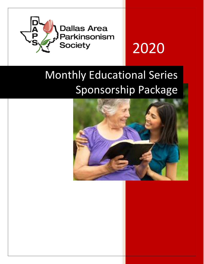

# 2020

# Monthly Educational Series Sponsorship Package

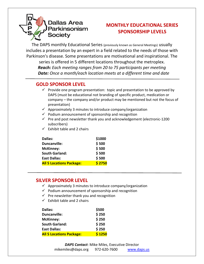

## **MONTHLY EDUCATIONAL SERIES SPONSORSHIP LEVELS**

The DAPS monthly Educational Series (previously known as General Meetings) usually includes a presentation by an expert in a field related to the needs of those with Parkinson's disease. Some presentations are motivational and inspirational. The series is offered in 5 different locations throughout the metroplex. *Reach: Each meeting ranges from 20 to 75 participants per meeting Date: Once a month/each location meets at a different time and date*

### **GOLD SPONSOR LEVEL**

- $\checkmark$  Provide one program presentation: topic and presentation to be approved by DAPS (must be educational not branding of specific product, medication or company – the company and/or product may be mentioned but not the focus of presentation)
- $\checkmark$  Approximately 3 minutes to introduce company/organization
- $\checkmark$  Podium announcement of sponsorship and recognition
- $\checkmark$  Pre and post newsletter thank you and acknowledgement (electronic-1200 subscribers)
- $\checkmark$  Exhibit table and 2 chairs

| Dallas:                         | \$1000 |
|---------------------------------|--------|
| <b>Duncanville:</b>             | \$500  |
| <b>McKinney:</b>                | \$500  |
| <b>South Garland:</b>           | \$500  |
| <b>East Dallas:</b>             | \$500  |
| <b>All 5 Locations Package:</b> | \$2750 |

#### **SILVER SPONSOR LEVEL**

- $\checkmark$  Approximately 3 minutes to introduce company/organization
- $\checkmark$  Podium announcement of sponsorship and recognition
- $\checkmark$  Pre newsletter thank you and recognition
- $\checkmark$  Exhibit table and 2 chairs

| Dallas:                         | \$500  |
|---------------------------------|--------|
| <b>Duncanville:</b>             | \$250  |
| <b>McKinney:</b>                | \$250  |
| <b>South Garland:</b>           | \$250  |
| <b>East Dallas:</b>             | \$250  |
| <b>All 5 Locations Package:</b> | \$1250 |